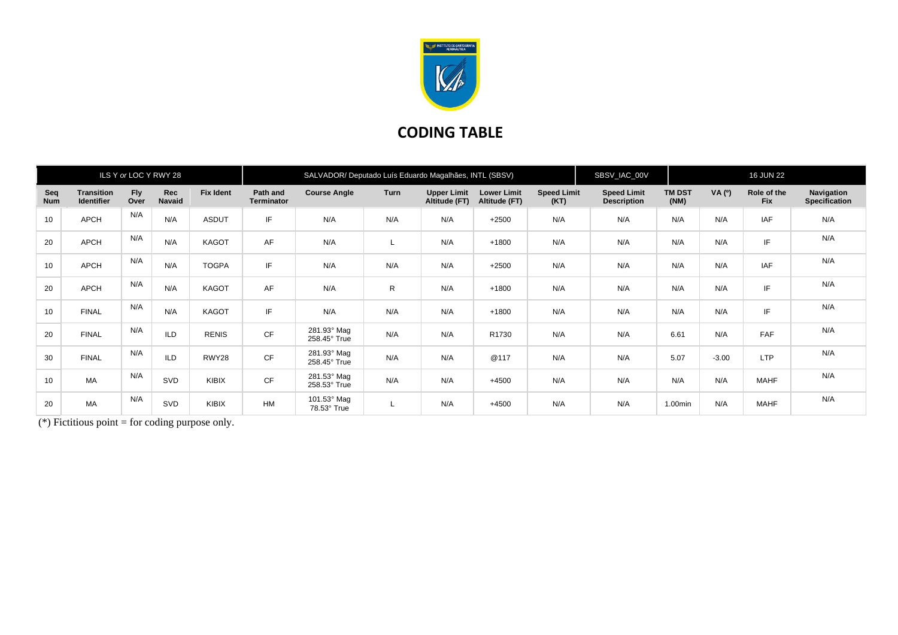

## **CODING TABLE**

| ILS Y or LOC Y RWY 28 |                                        |                    |                      | SALVADOR/ Deputado Luís Eduardo Magalhães, INTL (SBSV) |                               |                             |      |                                     |                                     | SBSV_IAC_00V               | <b>16 JUN 22</b>                         |                       |         |                           |                                    |
|-----------------------|----------------------------------------|--------------------|----------------------|--------------------------------------------------------|-------------------------------|-----------------------------|------|-------------------------------------|-------------------------------------|----------------------------|------------------------------------------|-----------------------|---------|---------------------------|------------------------------------|
| Seq<br><b>Num</b>     | <b>Transition</b><br><b>Identifier</b> | <b>Fly</b><br>Over | Rec<br><b>Navaid</b> | <b>Fix Ident</b>                                       | Path and<br><b>Terminator</b> | <b>Course Angle</b>         | Turn | <b>Upper Limit</b><br>Altitude (FT) | <b>Lower Limit</b><br>Altitude (FT) | <b>Speed Limit</b><br>(KT) | <b>Speed Limit</b><br><b>Description</b> | <b>TM DST</b><br>(NM) | VA (°)  | Role of the<br><b>Fix</b> | Navigation<br><b>Specification</b> |
| 10                    | APCH                                   | N/A                | N/A                  | <b>ASDUT</b>                                           | IF                            | N/A                         | N/A  | N/A                                 | $+2500$                             | N/A                        | N/A                                      | N/A                   | N/A     | <b>IAF</b>                | N/A                                |
| 20                    | <b>APCH</b>                            | N/A                | N/A                  | <b>KAGOT</b>                                           | AF                            | N/A                         | L    | N/A                                 | $+1800$                             | N/A                        | N/A                                      | N/A                   | N/A     | IF.                       | N/A                                |
| 10                    | APCH                                   | N/A                | N/A                  | <b>TOGPA</b>                                           | IF                            | N/A                         | N/A  | N/A                                 | $+2500$                             | N/A                        | N/A                                      | N/A                   | N/A     | <b>IAF</b>                | N/A                                |
| 20                    | APCH                                   | N/A                | N/A                  | KAGOT                                                  | AF                            | N/A                         | R    | N/A                                 | $+1800$                             | N/A                        | N/A                                      | N/A                   | N/A     | IF                        | N/A                                |
| 10                    | <b>FINAL</b>                           | N/A                | N/A                  | KAGOT                                                  | IF                            | N/A                         | N/A  | N/A                                 | $+1800$                             | N/A                        | N/A                                      | N/A                   | N/A     | IF                        | N/A                                |
| 20                    | <b>FINAL</b>                           | N/A                | <b>ILD</b>           | <b>RENIS</b>                                           | <b>CF</b>                     | 281.93° Mag<br>258.45° True | N/A  | N/A                                 | R1730                               | N/A                        | N/A                                      | 6.61                  | N/A     | FAF                       | N/A                                |
| 30                    | <b>FINAL</b>                           | N/A                | ILD                  | RWY28                                                  | <b>CF</b>                     | 281.93° Mag<br>258.45° True | N/A  | N/A                                 | @117                                | N/A                        | N/A                                      | 5.07                  | $-3.00$ | <b>LTP</b>                | N/A                                |
| 10                    | <b>MA</b>                              | N/A                | SVD                  | KIBIX                                                  | <b>CF</b>                     | 281.53° Mag<br>258.53° True | N/A  | N/A                                 | $+4500$                             | N/A                        | N/A                                      | N/A                   | N/A     | <b>MAHF</b>               | N/A                                |
| 20                    | MA                                     | N/A                | SVD                  | KIBIX                                                  | <b>HM</b>                     | 101.53° Mag<br>78.53° True  |      | N/A                                 | $+4500$                             | N/A                        | N/A                                      | 1.00min               | N/A     | <b>MAHF</b>               | N/A                                |

(\*) Fictitious point = for coding purpose only.